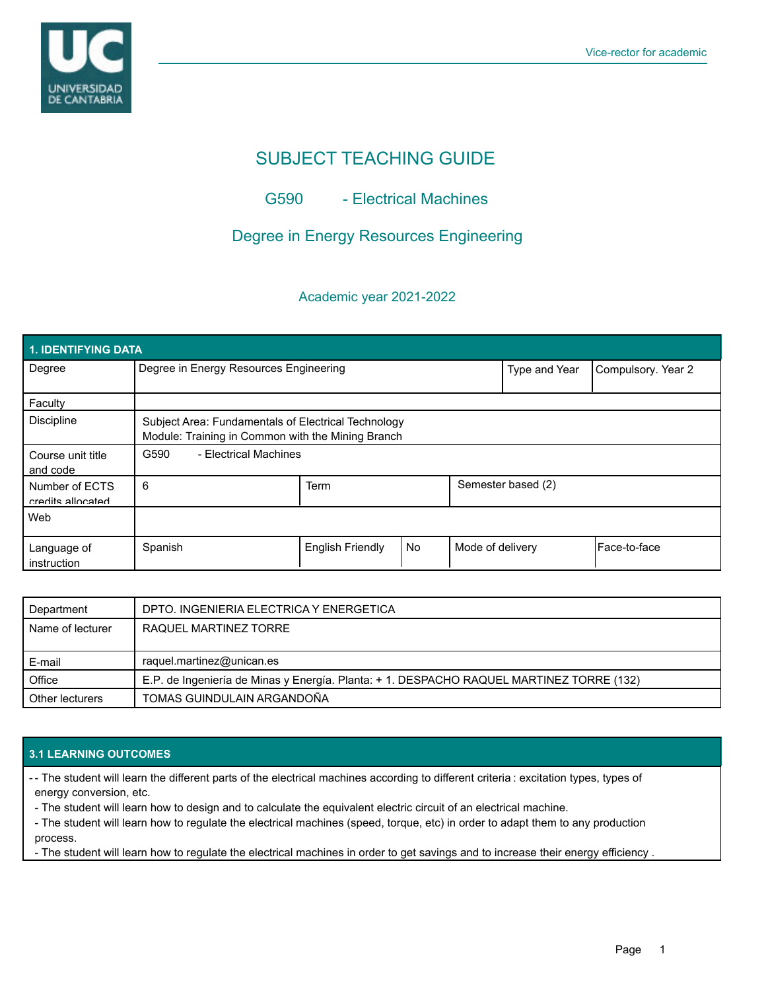

# SUBJECT TEACHING GUIDE

## G590 - Electrical Machines

# Degree in Energy Resources Engineering

### Academic year 2021-2022

| 1. IDENTIFYING DATA                 |                                                                                                          |                         |           |                    |                    |              |  |  |  |
|-------------------------------------|----------------------------------------------------------------------------------------------------------|-------------------------|-----------|--------------------|--------------------|--------------|--|--|--|
| Degree                              | Degree in Energy Resources Engineering                                                                   |                         |           | Type and Year      | Compulsory. Year 2 |              |  |  |  |
| Faculty                             |                                                                                                          |                         |           |                    |                    |              |  |  |  |
| <b>Discipline</b>                   | Subject Area: Fundamentals of Electrical Technology<br>Module: Training in Common with the Mining Branch |                         |           |                    |                    |              |  |  |  |
| Course unit title<br>and code       | G590<br>- Electrical Machines                                                                            |                         |           |                    |                    |              |  |  |  |
| Number of ECTS<br>credits allocated | 6                                                                                                        | Term                    |           | Semester based (2) |                    |              |  |  |  |
| Web                                 |                                                                                                          |                         |           |                    |                    |              |  |  |  |
| Language of<br>instruction          | Spanish                                                                                                  | <b>English Friendly</b> | <b>No</b> | Mode of delivery   |                    | Face-to-face |  |  |  |

| Department       | DPTO. INGENIERIA ELECTRICA Y ENERGETICA                                                  |
|------------------|------------------------------------------------------------------------------------------|
| Name of lecturer | RAQUEL MARTINEZ TORRE                                                                    |
|                  |                                                                                          |
|                  |                                                                                          |
| E-mail           | raquel.martinez@unican.es                                                                |
| Office           | E.P. de Ingeniería de Minas y Energía. Planta: + 1. DESPACHO RAQUEL MARTINEZ TORRE (132) |

### **3.1 LEARNING OUTCOMES**

- The student will learn the different parts of the electrical machines according to different criteria : excitation types, types of energy conversion, etc.

- The student will learn how to design and to calculate the equivalent electric circuit of an electrical machine.

- The student will learn how to regulate the electrical machines (speed, torque, etc) in order to adapt them to any production process.

- The student will learn how to regulate the electrical machines in order to get savings and to increase their energy efficiency .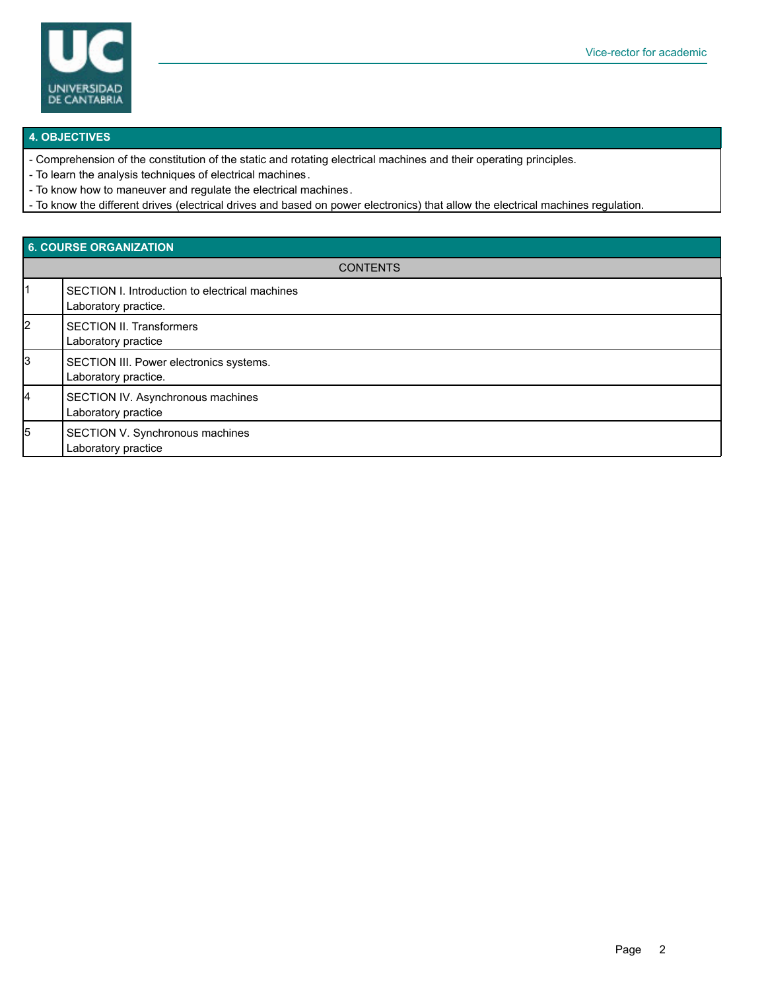

#### **4. OBJECTIVES**

- Comprehension of the constitution of the static and rotating electrical machines and their operating principles.
- To learn the analysis techniques of electrical machines.
- To know how to maneuver and regulate the electrical machines.
- To know the different drives (electrical drives and based on power electronics) that allow the electrical machines regulation.

## **6. COURSE ORGANIZATION CONTENTS** 1 SECTION I. Introduction to electrical machines Laboratory practice. 2 SECTION II. Transformers Laboratory practice 3 SECTION III. Power electronics systems. Laboratory practice. SECTION IV. Asynchronous machines Laboratory practice 5 SECTION V. Synchronous machines Laboratory practice